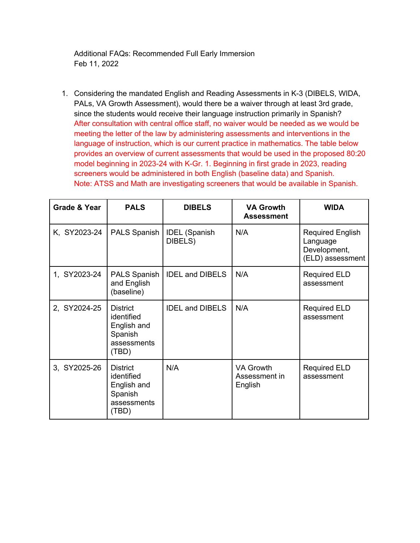Additional FAQs: Recommended Full Early Immersion Feb 11, 2022

1. Considering the mandated English and Reading Assessments in K-3 (DIBELS, WIDA, PALs, VA Growth Assessment), would there be a waiver through at least 3rd grade, since the students would receive their language instruction primarily in Spanish? After consultation with central office staff, no waiver would be needed as we would be meeting the letter of the law by administering assessments and interventions in the language of instruction, which is our current practice in mathematics. The table below provides an overview of current assessments that would be used in the proposed 80:20 model beginning in 2023-24 with K-Gr. 1. Beginning in first grade in 2023, reading screeners would be administered in both English (baseline data) and Spanish. Note: ATSS and Math are investigating screeners that would be available in Spanish.

| Grade & Year | <b>PALS</b>                                                                     | <b>DIBELS</b>                   | <b>VA Growth</b><br><b>Assessment</b>        | <b>WIDA</b>                                                             |
|--------------|---------------------------------------------------------------------------------|---------------------------------|----------------------------------------------|-------------------------------------------------------------------------|
| K, SY2023-24 | <b>PALS Spanish</b>                                                             | <b>IDEL</b> (Spanish<br>DIBELS) | N/A                                          | <b>Required English</b><br>Language<br>Development,<br>(ELD) assessment |
| 1, SY2023-24 | <b>PALS Spanish</b><br>and English<br>(baseline)                                | <b>IDEL and DIBELS</b>          | N/A                                          | <b>Required ELD</b><br>assessment                                       |
| 2, SY2024-25 | <b>District</b><br>identified<br>English and<br>Spanish<br>assessments<br>(TBD) | <b>IDEL and DIBELS</b>          | N/A                                          | <b>Required ELD</b><br>assessment                                       |
| 3, SY2025-26 | <b>District</b><br>identified<br>English and<br>Spanish<br>assessments<br>(TBD) | N/A                             | <b>VA Growth</b><br>Assessment in<br>English | <b>Required ELD</b><br>assessment                                       |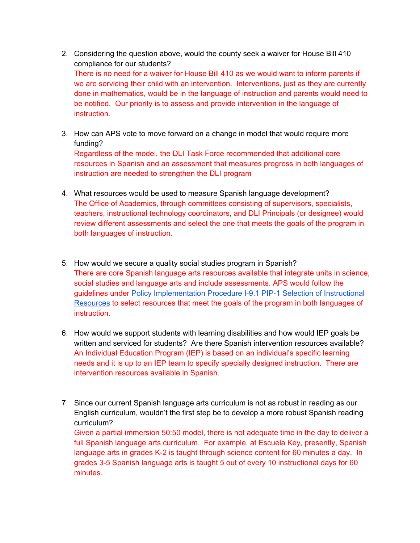- 2. Considering the question above, would the county seek a waiver for House Bill 410 compliance for our students? There is no need for a waiver for House Bill 410 as we would want to inform parents if we are servicing their child with an intervention. Interventions, just as they are currently done in mathematics, would be in the language of instruction and parents would need to be notified. Our priority is to assess and provide intervention in the language of instruction.
- 3. How can APS vote to move forward on a change in model that would require more funding? Regardless of the model, the DLI Task Force recommended that additional core resources in Spanish and an assessment that measures progress in both languages of instruction are needed to strengthen the DLI program
- 4. What resources would be used to measure Spanish language development? The Office of Academics, through committees consisting of supervisors, specialists, teachers, instructional technology coordinators, and DLI Principals (or designee) would review different assessments and select the one that meets the goals of the program in both languages of instruction.
- 5. How would we secure a quality social studies program in Spanish? There are core Spanish language arts resources available that integrate units in science, social studies and language arts and include assessments. APS would follow the guidelines under Policy Implementation Procedure I-9.1 PIP-1 Selection of Instructional Resources to select resources that meet the goals of the program in both languages of instruction.
- 6. How would we support students with learning disabilities and how would IEP goals be written and serviced for students? Are there Spanish intervention resources available? An Individual Education Program (IEP) is based on an individual's specific learning needs and it is up to an IEP team to specify specially designed instruction. There are intervention resources available in Spanish.
- 7. Since our current Spanish language arts curriculum is not as robust in reading as our English curriculum, wouldn't the first step be to develop a more robust Spanish reading curriculum? Given a partial immersion 50:50 model, there is not adequate time in the day to deliver a

full Spanish language arts curriculum. For example, at Escuela Key, presently, Spanish language arts in grades K-2 is taught through science content for 60 minutes a day. In grades 3-5 Spanish language arts is taught 5 out of every 10 instructional days for 60 minutes.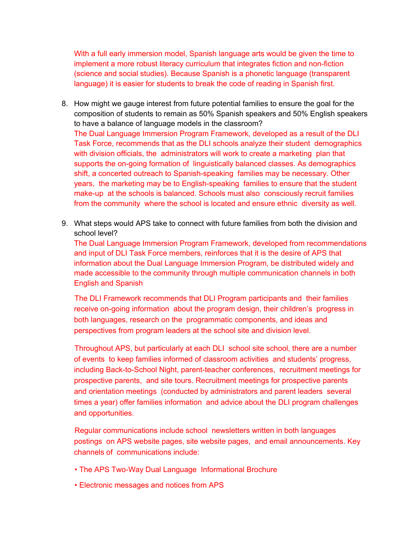With a full early immersion model, Spanish language arts would be given the time to implement a more robust literacy curriculum that integrates fiction and non-fiction (science and social studies). Because Spanish is a phonetic language (transparent language) it is easier for students to break the code of reading in Spanish first.

- 8. How might we gauge interest from future potential families to ensure the goal for the composition of students to remain as 50% Spanish speakers and 50% English speakers to have a balance of language models in the classroom? The Dual Language Immersion Program Framework, developed as a result of the DLI Task Force, recommends that as the DLI schools analyze their student demographics with division officials, the administrators will work to create a marketing plan that supports the on-going formation of linguistically balanced classes. As demographics shift, a concerted outreach to Spanish-speaking families may be necessary. Other years, the marketing may be to English-speaking families to ensure that the student make-up at the schools is balanced. Schools must also consciously recruit families from the community where the school is located and ensure ethnic diversity as well.
- 9. What steps would APS take to connect with future families from both the division and school level?

The Dual Language Immersion Program Framework, developed from recommendations and input of DLI Task Force members, reinforces that it is the desire of APS that information about the Dual Language Immersion Program, be distributed widely and made accessible to the community through multiple communication channels in both English and Spanish

The DLI Framework recommends that DLI Program participants and their families receive on-going information about the program design, their children's progress in both languages, research on the programmatic components, and ideas and perspectives from program leaders at the school site and division level.

Throughout APS, but particularly at each DLI school site school, there are a number of events to keep families informed of classroom activities and students' progress, including Back-to-School Night, parent-teacher conferences, recruitment meetings for prospective parents, and site tours. Recruitment meetings for prospective parents and orientation meetings (conducted by administrators and parent leaders several times a year) offer families information and advice about the DLI program challenges and opportunities.

Regular communications include school newsletters written in both languages postings on APS website pages, site website pages, and email announcements. Key channels of communications include:

- The APS Two-Way Dual Language Informational Brochure
- Electronic messages and notices from APS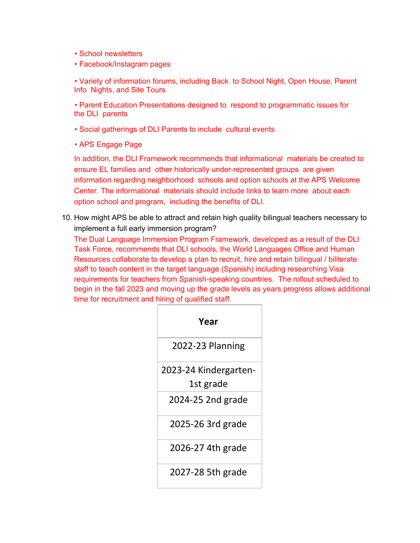- School newsletters
- Facebook/Instagram pages

• Variety of information forums, including Back to School Night, Open House, Parent Info Nights, and Site Tours

• Parent Education Presentations designed to respond to programmatic issues for the DLI parents

• Social gatherings of DLI Parents to include cultural events

• APS Engage Page

In addition, the DLI Framework recommends that informational materials be created to ensure EL families and other historically under-represented groups are given information regarding neighborhood schools and option schools at the APS Welcome Center. The informational materials should include links to learn more about each option school and program, including the benefits of DLI.

10. How might APS be able to attract and retain high quality bilingual teachers necessary to implement a full early immersion program?

The Dual Language Immersion Program Framework, developed as a result of the DLI Task Force, recommends that DLI schools, the World Languages Office and Human Resources collaborate to develop a plan to recruit, hire and retain bilingual / biliterate staff to teach content in the target language (Spanish) including researching Visa requirements for teachers from Spanish-speaking countries. The rollout scheduled to begin in the fall 2023 and moving up the grade levels as years progress allows additional time for recruitment and hiring of qualified staff.

| Year                               |
|------------------------------------|
| 2022-23 Planning                   |
| 2023-24 Kindergarten-<br>1st grade |
| 2024-25 2nd grade                  |
| 2025-26 3rd grade                  |
| 2026-27 4th grade                  |
| 2027-28 5th grade                  |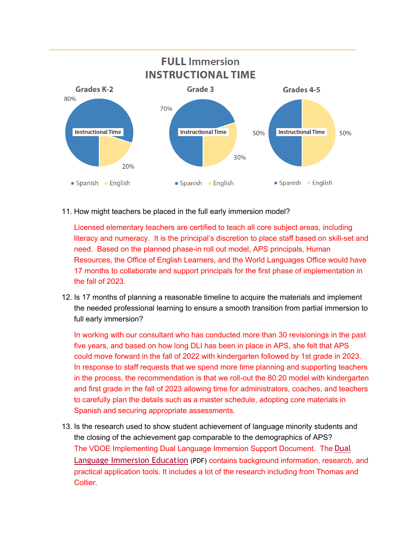

11. How might teachers be placed in the full early immersion model?

Licensed elementary teachers are certified to teach all core subject areas, including literacy and numeracy. It is the principal's discretion to place staff based on skill-set and need. Based on the planned phase-in roll out model, APS principals, Human Resources, the Office of English Learners, and the World Languages Office would have 17 months to collaborate and support principals for the first phase of implementation in the fall of 2023.

12. Is 17 months of planning a reasonable timeline to acquire the materials and implement the needed professional learning to ensure a smooth transition from partial immersion to full early immersion?

In working with our consultant who has conducted more than 30 revisionings in the past five years, and based on how long DLI has been in place in APS, she felt that APS could move forward in the fall of 2022 with kindergarten followed by 1st grade in 2023. In response to staff requests that we spend more time planning and supporting teachers in the process, the recommendation is that we roll-out the 80:20 model with kindergarten and first grade in the fall of 2023 allowing time for administrators, coaches, and teachers to carefully plan the details such as a master schedule, adopting core materials in Spanish and securing appropriate assessments.

13. Is the research used to show student achievement of language minority students and the closing of the achievement gap comparable to the demographics of APS? The VDOE Implementing Dual Language Immersion Support Document. The Dual Language Immersion Education (PDF) contains background information, research, and practical application tools. It includes a lot of the research including from Thomas and Collier.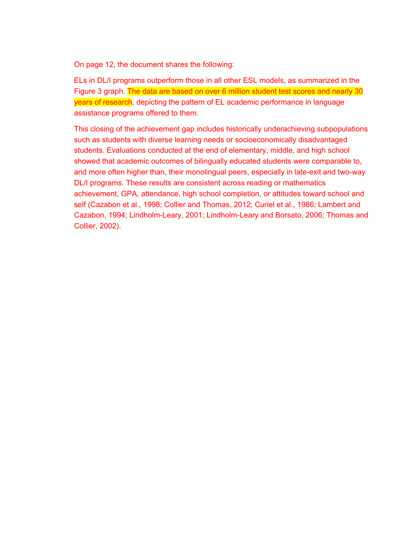On page 12, the document shares the following:

ELs in DL/I programs outperform those in all other ESL models, as summarized in the Figure 3 graph. The data are based on over 6 million student test scores and nearly 30 years of research, depicting the pattern of EL academic performance in language assistance programs offered to them.

This closing of the achievement gap includes historically underachieving subpopulations such as students with diverse learning needs or socioeconomically disadvantaged students. Evaluations conducted at the end of elementary, middle, and high school showed that academic outcomes of bilingually educated students were comparable to, and more often higher than, their monolingual peers, especially in late-exit and two-way DL/I programs. These results are consistent across reading or mathematics achievement, GPA, attendance, high school completion, or attitudes toward school and self (Cazabon et al., 1998; Collier and Thomas, 2012; Curiel et al., 1986; Lambert and Cazabon, 1994; Lindholm-Leary, 2001; Lindholm-Leary and Borsato, 2006; Thomas and Collier, 2002).